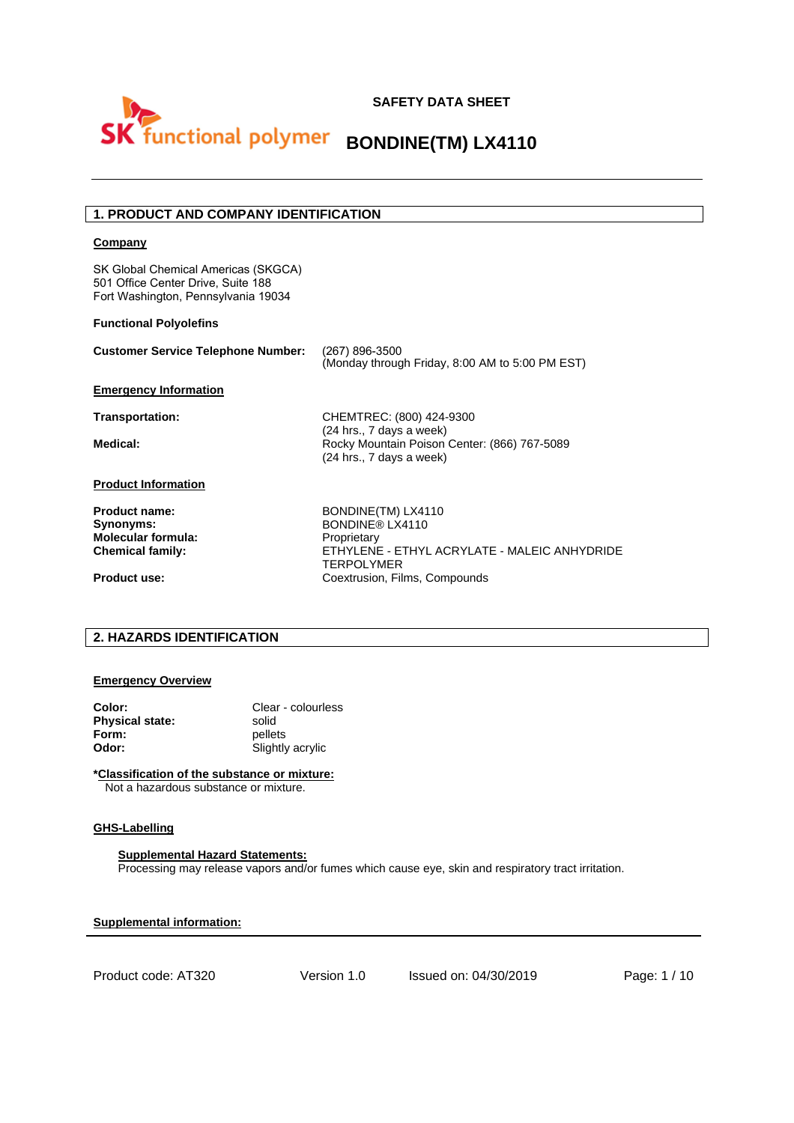

# **1. PRODUCT AND COMPANY IDENTIFICATION**

#### **Company**

SK Global Chemical Americas (SKGCA) 501 Office Center Drive, Suite 188 Fort Washington, Pennsylvania 19034

### **Functional Polyolefins**

| <b>Customer Service Telephone Number:</b>                                          | (267) 896-3500<br>(Monday through Friday, 8:00 AM to 5:00 PM EST)                                                         |
|------------------------------------------------------------------------------------|---------------------------------------------------------------------------------------------------------------------------|
| <b>Emergency Information</b>                                                       |                                                                                                                           |
| Transportation:                                                                    | CHEMTREC: (800) 424-9300                                                                                                  |
| Medical:                                                                           | (24 hrs., 7 days a week)<br>Rocky Mountain Poison Center: (866) 767-5089<br>(24 hrs., 7 days a week)                      |
| <b>Product Information</b>                                                         |                                                                                                                           |
| <b>Product name:</b><br>Synonyms:<br>Molecular formula:<br><b>Chemical family:</b> | BONDINE(TM) LX4110<br>BONDINF® LX4110<br>Proprietary<br>FTHYLENE - FTHYL ACRYLATE - MALFIC ANHYDRIDE<br><b>TERPOLYMER</b> |
| <b>Product use:</b>                                                                | Coextrusion, Films, Compounds                                                                                             |

# **2. HAZARDS IDENTIFICATION**

#### **Emergency Overview**

| Color:                 | Clear - colourless |
|------------------------|--------------------|
| <b>Physical state:</b> | solid              |
| Form:                  | pellets            |
| Odor:                  | Slightly acrylic   |

#### **\*Classification of the substance or mixture:**

Not a hazardous substance or mixture.

# **GHS-Labelling**

**Supplemental Hazard Statements:**  Processing may release vapors and/or fumes which cause eye, skin and respiratory tract irritation.

**Supplemental information:** 

Product code: AT320 Version 1.0 Issued on: 04/30/2019 Page: 1 / 10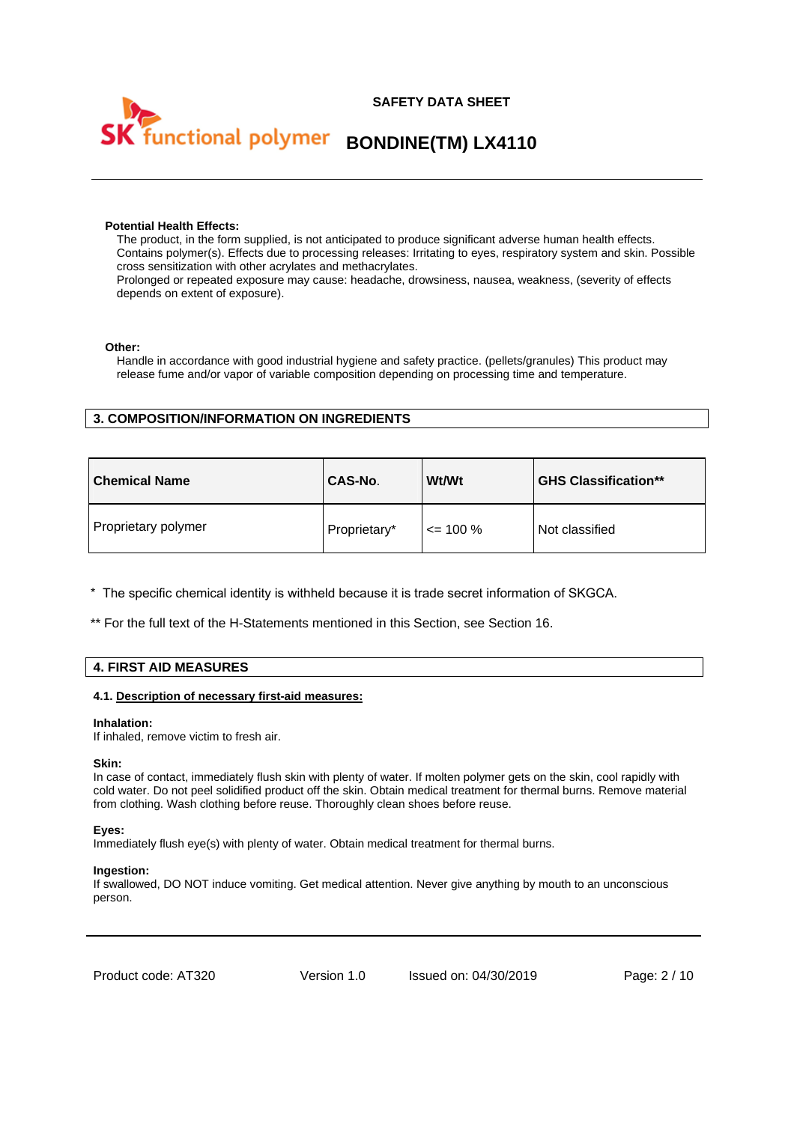



#### **Potential Health Effects:**

The product, in the form supplied, is not anticipated to produce significant adverse human health effects. Contains polymer(s). Effects due to processing releases: Irritating to eyes, respiratory system and skin. Possible cross sensitization with other acrylates and methacrylates.

Prolonged or repeated exposure may cause: headache, drowsiness, nausea, weakness, (severity of effects depends on extent of exposure).

#### **Other:**

Handle in accordance with good industrial hygiene and safety practice. (pellets/granules) This product may release fume and/or vapor of variable composition depending on processing time and temperature.

# **3. COMPOSITION/INFORMATION ON INGREDIENTS**

| <b>Chemical Name</b> | <b>CAS-No.</b> | <b>Wt/Wt</b> | <b>GHS Classification**</b> |
|----------------------|----------------|--------------|-----------------------------|
| Proprietary polymer  | Proprietary*   | $\leq$ 100 % | Not classified              |

\* The specific chemical identity is withheld because it is trade secret information of SKGCA.

\*\* For the full text of the H-Statements mentioned in this Section, see Section 16.

# **4. FIRST AID MEASURES**

#### **4.1. Description of necessary first-aid measures:**

#### **Inhalation:**

If inhaled, remove victim to fresh air.

#### **Skin:**

In case of contact, immediately flush skin with plenty of water. If molten polymer gets on the skin, cool rapidly with cold water. Do not peel solidified product off the skin. Obtain medical treatment for thermal burns. Remove material from clothing. Wash clothing before reuse. Thoroughly clean shoes before reuse.

#### **Eyes:**

Immediately flush eye(s) with plenty of water. Obtain medical treatment for thermal burns.

#### **Ingestion:**

If swallowed, DO NOT induce vomiting. Get medical attention. Never give anything by mouth to an unconscious person.

Product code: AT320 Version 1.0 Issued on: 04/30/2019 Page: 2 / 10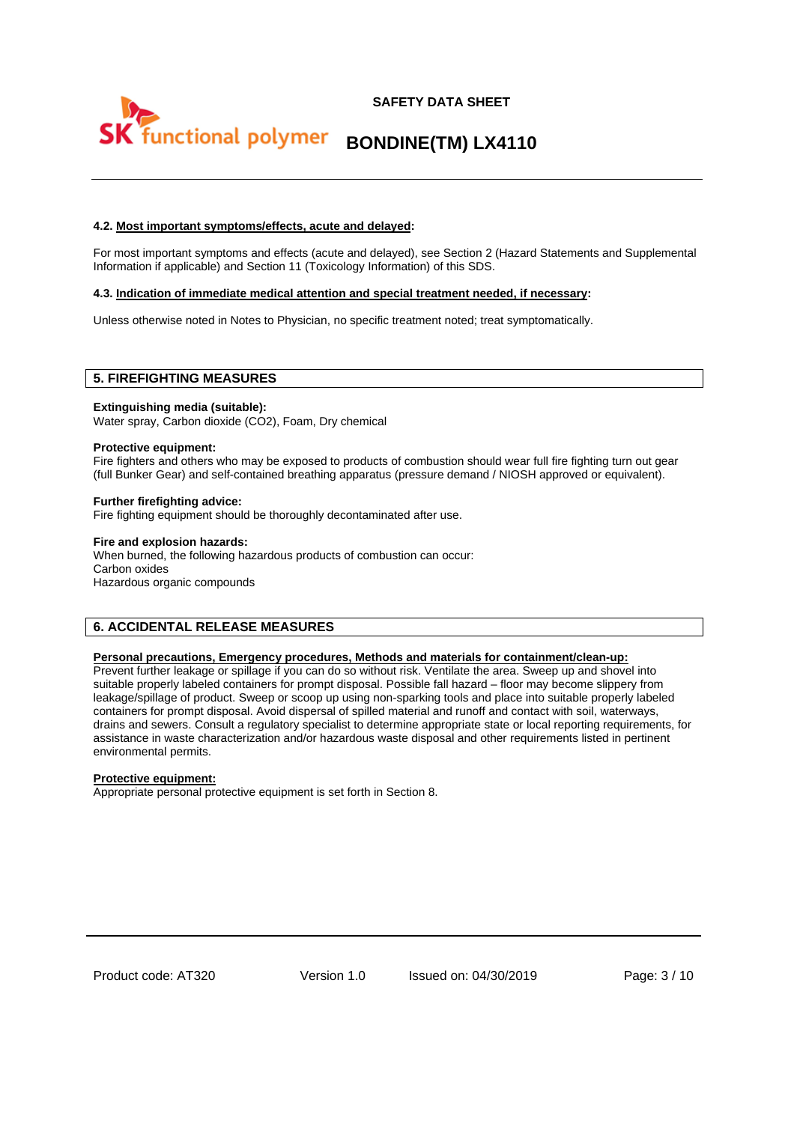# **SAFETY DATA SHEET BONDINE(TM) LX4110**

#### **4.2. Most important symptoms/effects, acute and delayed:**

For most important symptoms and effects (acute and delayed), see Section 2 (Hazard Statements and Supplemental Information if applicable) and Section 11 (Toxicology Information) of this SDS.

#### **4.3. Indication of immediate medical attention and special treatment needed, if necessary:**

Unless otherwise noted in Notes to Physician, no specific treatment noted; treat symptomatically.

#### **5. FIREFIGHTING MEASURES**

#### **Extinguishing media (suitable):**

Water spray, Carbon dioxide (CO2), Foam, Dry chemical

#### **Protective equipment:**

Fire fighters and others who may be exposed to products of combustion should wear full fire fighting turn out gear (full Bunker Gear) and self-contained breathing apparatus (pressure demand / NIOSH approved or equivalent).

#### **Further firefighting advice:**

Fire fighting equipment should be thoroughly decontaminated after use.

#### **Fire and explosion hazards:**

When burned, the following hazardous products of combustion can occur: Carbon oxides Hazardous organic compounds

# **6. ACCIDENTAL RELEASE MEASURES**

#### **Personal precautions, Emergency procedures, Methods and materials for containment/clean-up:**

Prevent further leakage or spillage if you can do so without risk. Ventilate the area. Sweep up and shovel into suitable properly labeled containers for prompt disposal. Possible fall hazard – floor may become slippery from leakage/spillage of product. Sweep or scoop up using non-sparking tools and place into suitable properly labeled containers for prompt disposal. Avoid dispersal of spilled material and runoff and contact with soil, waterways, drains and sewers. Consult a regulatory specialist to determine appropriate state or local reporting requirements, for assistance in waste characterization and/or hazardous waste disposal and other requirements listed in pertinent environmental permits.

#### **Protective equipment:**

Appropriate personal protective equipment is set forth in Section 8.

Product code: AT320 Version 1.0 Issued on: 04/30/2019 Page: 3 / 10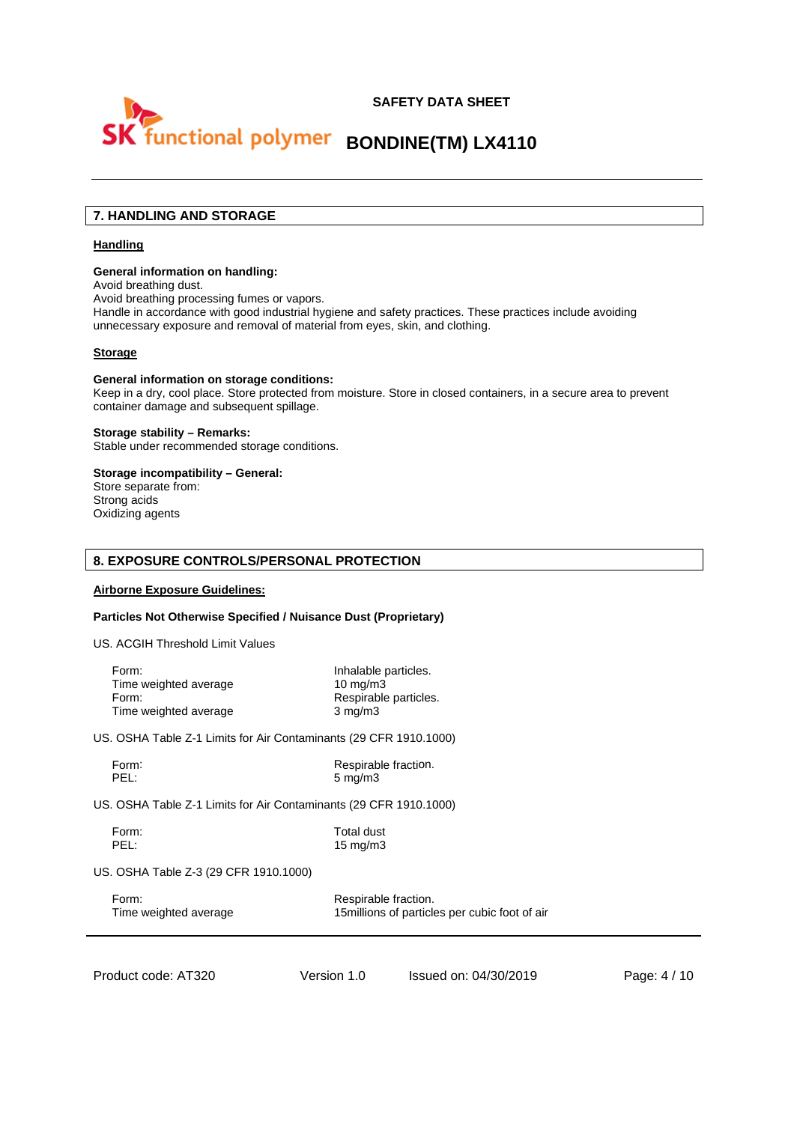

# **7. HANDLING AND STORAGE**

#### **Handling**

#### **General information on handling:**

Avoid breathing dust.

Avoid breathing processing fumes or vapors.

Handle in accordance with good industrial hygiene and safety practices. These practices include avoiding unnecessary exposure and removal of material from eyes, skin, and clothing.

#### **Storage**

#### **General information on storage conditions:**

Keep in a dry, cool place. Store protected from moisture. Store in closed containers, in a secure area to prevent container damage and subsequent spillage.

#### **Storage stability – Remarks:**

Stable under recommended storage conditions.

# **Storage incompatibility – General:**

Store separate from: Strong acids Oxidizing agents

#### **8. EXPOSURE CONTROLS/PERSONAL PROTECTION**

#### **Airborne Exposure Guidelines:**

#### **Particles Not Otherwise Specified / Nuisance Dust (Proprietary)**

US. ACGIH Threshold Limit Values

| Form:                 | Inhalable particles.  |
|-----------------------|-----------------------|
| Time weighted average | $10 \text{ mg/m}$     |
| Form:                 | Respirable particles. |
| Time weighted average | $3 \text{ mg/m}$      |

US. OSHA Table Z-1 Limits for Air Contaminants (29 CFR 1910.1000)

Form: Form: Respirable fraction.<br>
Respirable fraction.<br>
Respirable fraction.<br>
S mg/m3  $5$  mg/m3

US. OSHA Table Z-1 Limits for Air Contaminants (29 CFR 1910.1000)

Form: Total dust<br>PEL: 15 ma/m3 15 mg/m3

US. OSHA Table Z-3 (29 CFR 1910.1000)

Form: Form: Respirable fraction. Time weighted average 15millions of particles per cubic foot of air

Product code: AT320 Version 1.0 Issued on: 04/30/2019 Page: 4/10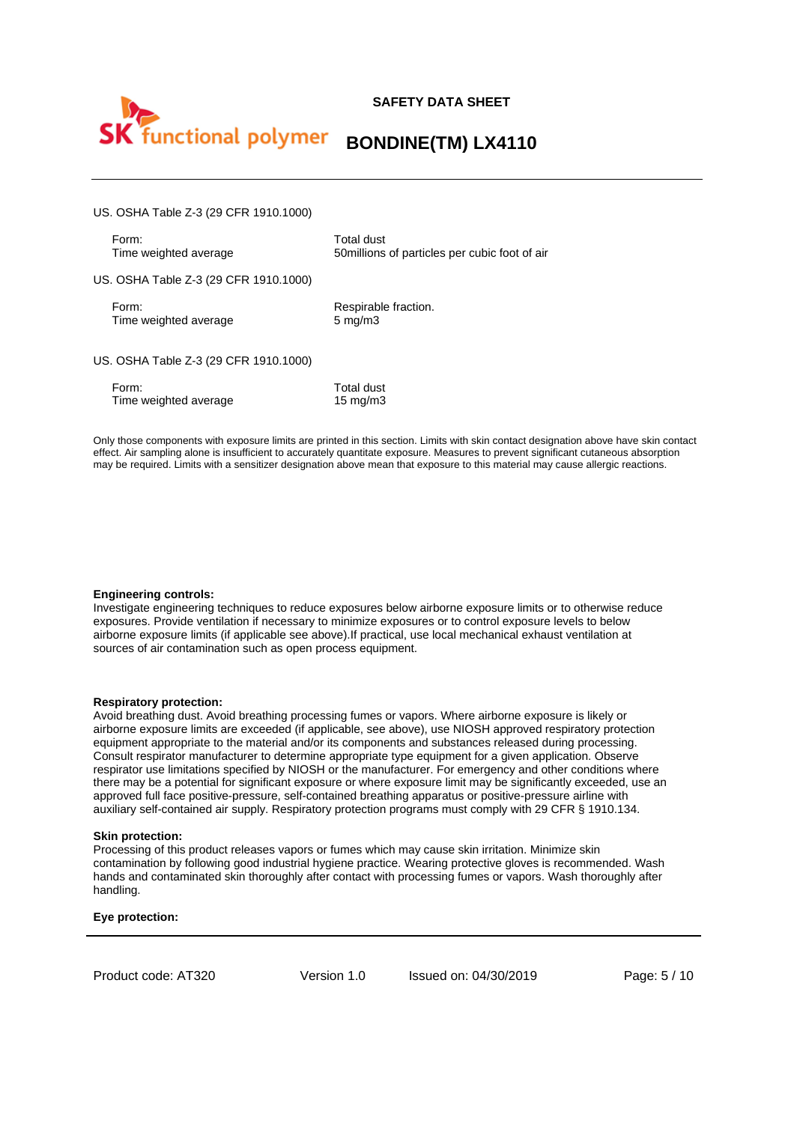

US. OSHA Table Z-3 (29 CFR 1910.1000)

Form: Total dust<br>Time weighted average Time weighted average 50millions

50millions of particles per cubic foot of air

US. OSHA Table Z-3 (29 CFR 1910.1000)

Form: Respirable fraction. Time weighted average 5 mg/m3

US. OSHA Table Z-3 (29 CFR 1910.1000)

| Form:                 | Total dust  |
|-----------------------|-------------|
| Time weighted average | 15 mg/m $3$ |

Only those components with exposure limits are printed in this section. Limits with skin contact designation above have skin contact effect. Air sampling alone is insufficient to accurately quantitate exposure. Measures to prevent significant cutaneous absorption may be required. Limits with a sensitizer designation above mean that exposure to this material may cause allergic reactions.

#### **Engineering controls:**

Investigate engineering techniques to reduce exposures below airborne exposure limits or to otherwise reduce exposures. Provide ventilation if necessary to minimize exposures or to control exposure levels to below airborne exposure limits (if applicable see above).If practical, use local mechanical exhaust ventilation at sources of air contamination such as open process equipment.

#### **Respiratory protection:**

Avoid breathing dust. Avoid breathing processing fumes or vapors. Where airborne exposure is likely or airborne exposure limits are exceeded (if applicable, see above), use NIOSH approved respiratory protection equipment appropriate to the material and/or its components and substances released during processing. Consult respirator manufacturer to determine appropriate type equipment for a given application. Observe respirator use limitations specified by NIOSH or the manufacturer. For emergency and other conditions where there may be a potential for significant exposure or where exposure limit may be significantly exceeded, use an approved full face positive-pressure, self-contained breathing apparatus or positive-pressure airline with auxiliary self-contained air supply. Respiratory protection programs must comply with 29 CFR § 1910.134.

#### **Skin protection:**

Processing of this product releases vapors or fumes which may cause skin irritation. Minimize skin contamination by following good industrial hygiene practice. Wearing protective gloves is recommended. Wash hands and contaminated skin thoroughly after contact with processing fumes or vapors. Wash thoroughly after handling.

#### **Eye protection:**

Product code: AT320 Version 1.0 Issued on: 04/30/2019 Page: 5 / 10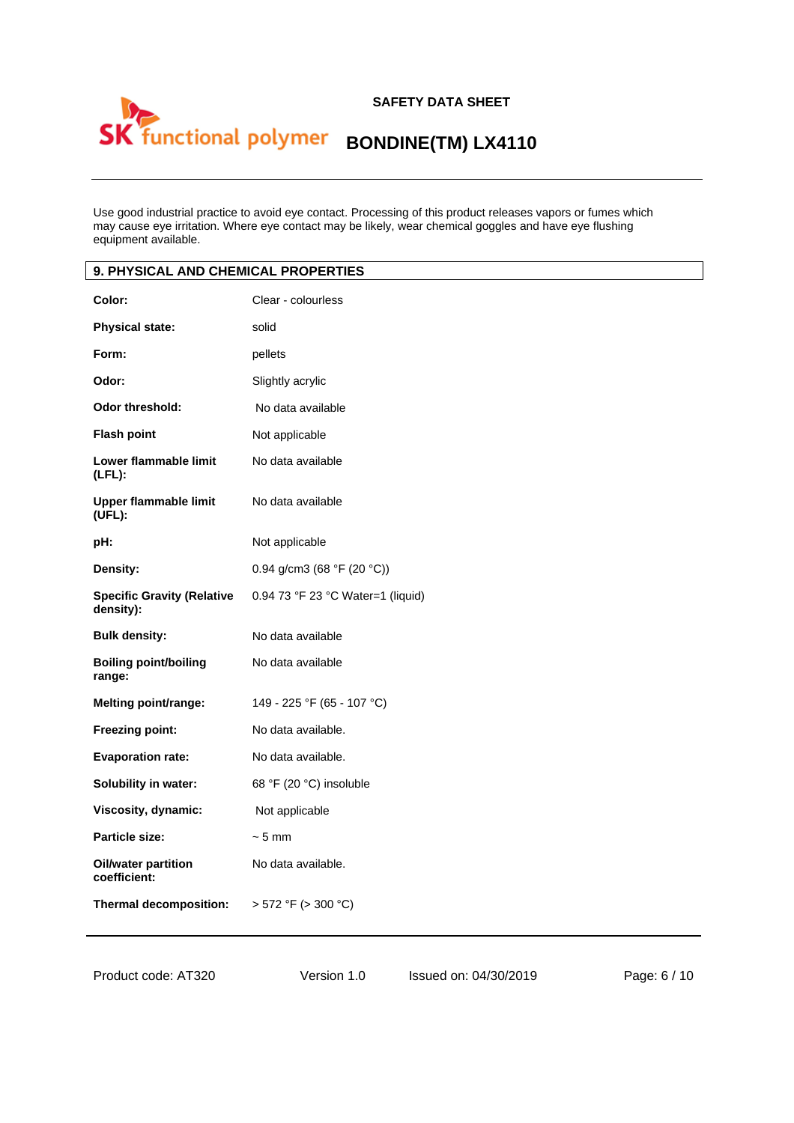# **SAFETY DATA SHEET**  functional polymer BONDINE(TM) LX4110

Use good industrial practice to avoid eye contact. Processing of this product releases vapors or fumes which may cause eye irritation. Where eye contact may be likely, wear chemical goggles and have eye flushing equipment available.

| 9. PHYSICAL AND CHEMICAL PROPERTIES            |                                   |
|------------------------------------------------|-----------------------------------|
| Color:                                         | Clear - colourless                |
| <b>Physical state:</b>                         | solid                             |
| Form:                                          | pellets                           |
| Odor:                                          | Slightly acrylic                  |
| <b>Odor threshold:</b>                         | No data available                 |
| <b>Flash point</b>                             | Not applicable                    |
| Lower flammable limit<br>$(LFL)$ :             | No data available                 |
| <b>Upper flammable limit</b><br>(UFL):         | No data available                 |
| pH:                                            | Not applicable                    |
| Density:                                       | 0.94 g/cm3 (68 °F (20 °C))        |
| <b>Specific Gravity (Relative</b><br>density): | 0.94 73 °F 23 °C Water=1 (liquid) |
| <b>Bulk density:</b>                           | No data available                 |
| <b>Boiling point/boiling</b><br>range:         | No data available                 |
| Melting point/range:                           | 149 - 225 °F (65 - 107 °C)        |
| Freezing point:                                | No data available.                |
| <b>Evaporation rate:</b>                       | No data available.                |
| Solubility in water:                           | 68 °F (20 °C) insoluble           |
| Viscosity, dynamic:                            | Not applicable                    |
| Particle size:                                 | $~5$ mm                           |
| <b>Oil/water partition</b><br>coefficient:     | No data available.                |
| Thermal decomposition:                         | > 572 °F (> 300 °C)               |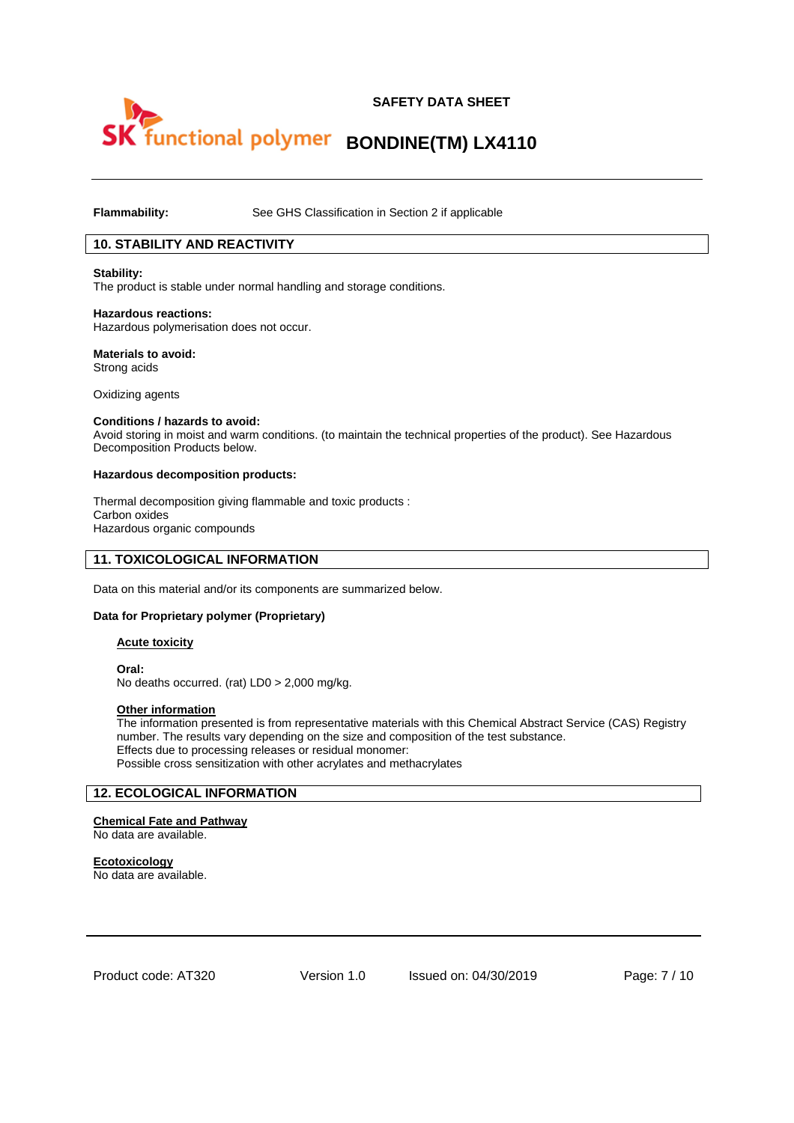

**Flammability:** See GHS Classification in Section 2 if applicable

# **10. STABILITY AND REACTIVITY**

#### **Stability:**

The product is stable under normal handling and storage conditions.

#### **Hazardous reactions:**

Hazardous polymerisation does not occur.

#### **Materials to avoid:**  Strong acids

Oxidizing agents

#### **Conditions / hazards to avoid:**

Avoid storing in moist and warm conditions. (to maintain the technical properties of the product). See Hazardous Decomposition Products below.

#### **Hazardous decomposition products:**

Thermal decomposition giving flammable and toxic products : Carbon oxides Hazardous organic compounds

### **11. TOXICOLOGICAL INFORMATION**

Data on this material and/or its components are summarized below.

#### **Data for Proprietary polymer (Proprietary)**

#### **Acute toxicity**

**Oral:** No deaths occurred. (rat) LD0 > 2,000 mg/kg.

#### **Other information**

The information presented is from representative materials with this Chemical Abstract Service (CAS) Registry number. The results vary depending on the size and composition of the test substance. Effects due to processing releases or residual monomer: Possible cross sensitization with other acrylates and methacrylates

# **12. ECOLOGICAL INFORMATION**

**Chemical Fate and Pathway** No data are available.

**Ecotoxicology**  No data are available.

Product code: AT320 Version 1.0 Issued on: 04/30/2019 Page: 7 / 10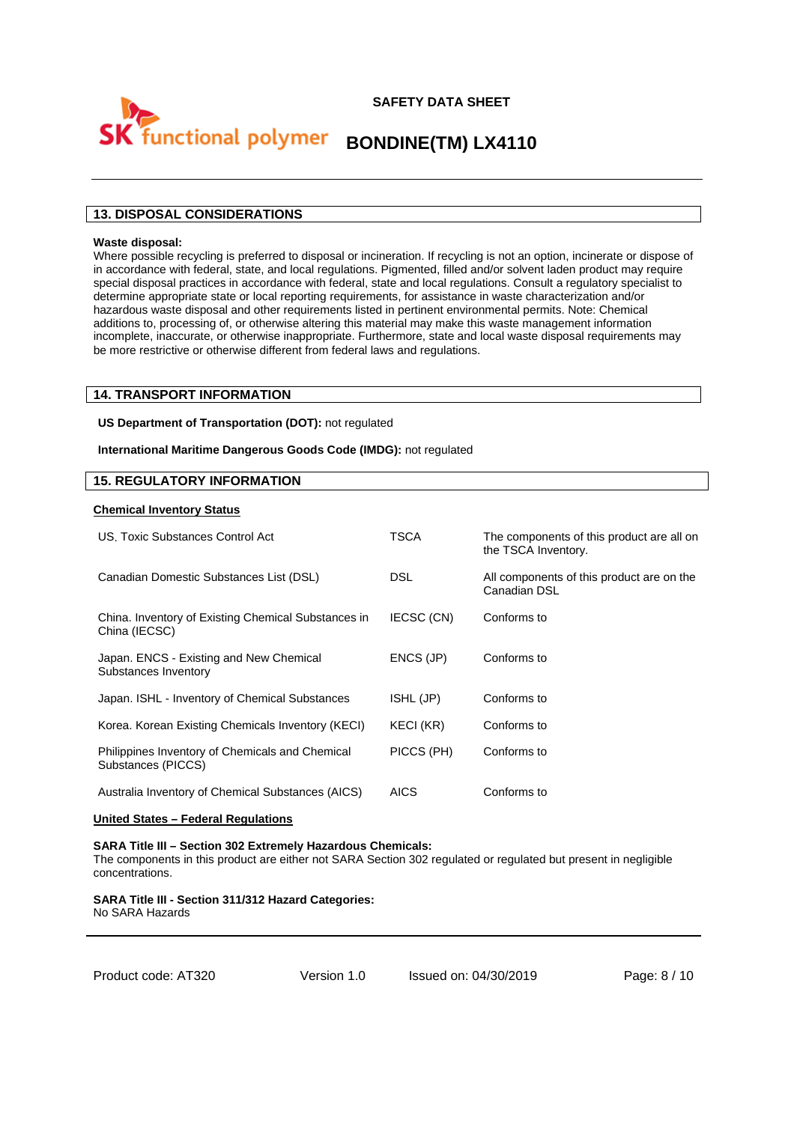

# **Functional polymer BONDINE(TM) LX4110**

# **13. DISPOSAL CONSIDERATIONS**

#### **Waste disposal:**

Where possible recycling is preferred to disposal or incineration. If recycling is not an option, incinerate or dispose of in accordance with federal, state, and local regulations. Pigmented, filled and/or solvent laden product may require special disposal practices in accordance with federal, state and local regulations. Consult a regulatory specialist to determine appropriate state or local reporting requirements, for assistance in waste characterization and/or hazardous waste disposal and other requirements listed in pertinent environmental permits. Note: Chemical additions to, processing of, or otherwise altering this material may make this waste management information incomplete, inaccurate, or otherwise inappropriate. Furthermore, state and local waste disposal requirements may be more restrictive or otherwise different from federal laws and regulations.

#### **14. TRANSPORT INFORMATION**

**US Department of Transportation (DOT):** not regulated

**International Maritime Dangerous Goods Code (IMDG):** not regulated

#### **15. REGULATORY INFORMATION**

#### **Chemical Inventory Status**

| US. Toxic Substances Control Act                                      | TSCA        | The components of this product are all on<br>the TSCA Inventory. |
|-----------------------------------------------------------------------|-------------|------------------------------------------------------------------|
| Canadian Domestic Substances List (DSL)                               | <b>DSL</b>  | All components of this product are on the<br>Canadian DSL        |
| China. Inventory of Existing Chemical Substances in<br>China (IECSC)  | IECSC (CN)  | Conforms to                                                      |
| Japan. ENCS - Existing and New Chemical<br>Substances Inventory       | ENCS (JP)   | Conforms to                                                      |
| Japan. ISHL - Inventory of Chemical Substances                        | ISHL (JP)   | Conforms to                                                      |
| Korea. Korean Existing Chemicals Inventory (KECI)                     | KECI (KR)   | Conforms to                                                      |
| Philippines Inventory of Chemicals and Chemical<br>Substances (PICCS) | PICCS (PH)  | Conforms to                                                      |
| Australia Inventory of Chemical Substances (AICS)                     | <b>AICS</b> | Conforms to                                                      |

#### **United States – Federal Regulations**

**SARA Title III – Section 302 Extremely Hazardous Chemicals:**  The components in this product are either not SARA Section 302 regulated or regulated but present in negligible concentrations.

**SARA Title III - Section 311/312 Hazard Categories:**  No SARA Hazards

Product code: AT320 Version 1.0 Issued on: 04/30/2019 Page: 8 / 10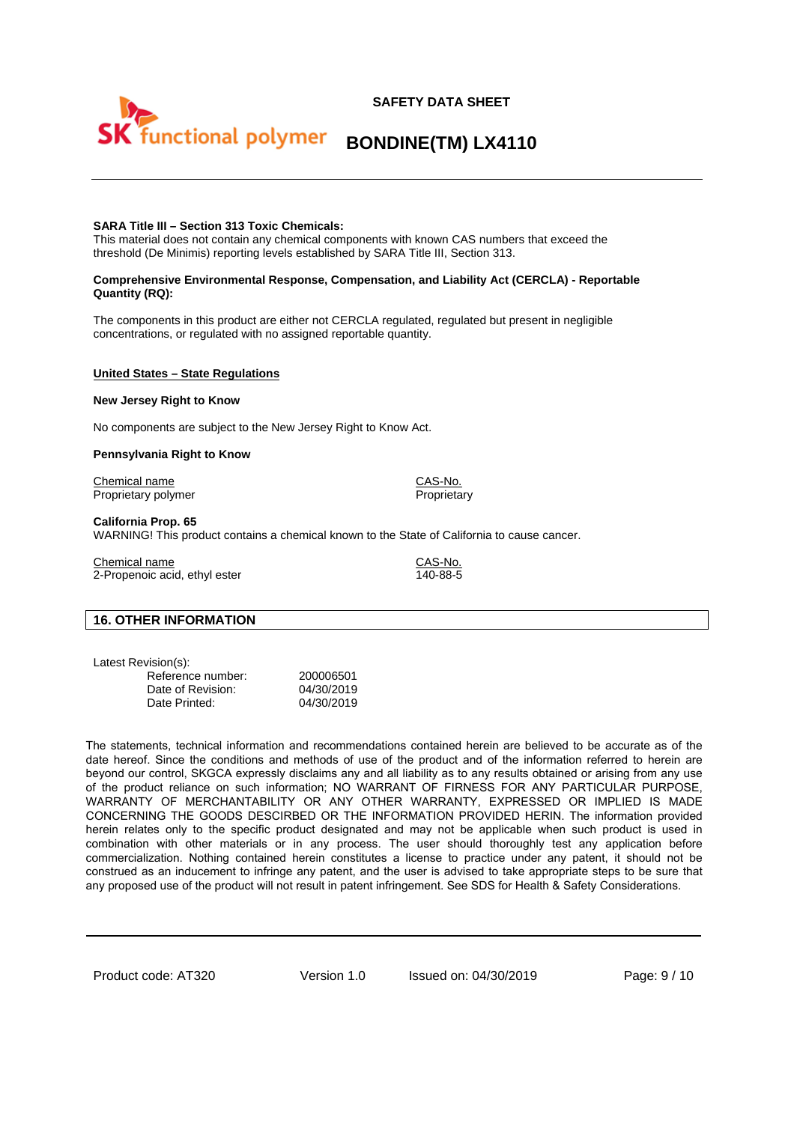# **SAFETY DATA SHEET**

# **BONDINE(TM) LX4110**

# **SARA Title III – Section 313 Toxic Chemicals:**

This material does not contain any chemical components with known CAS numbers that exceed the threshold (De Minimis) reporting levels established by SARA Title III, Section 313.

#### **Comprehensive Environmental Response, Compensation, and Liability Act (CERCLA) - Reportable Quantity (RQ):**

The components in this product are either not CERCLA regulated, regulated but present in negligible concentrations, or regulated with no assigned reportable quantity.

#### **United States – State Regulations**

#### **New Jersey Right to Know**

No components are subject to the New Jersey Right to Know Act.

#### **Pennsylvania Right to Know**

Chemical name CAS-No. Proprietary polymer **Proprietary** Proprietary

#### **California Prop. 65**

WARNING! This product contains a chemical known to the State of California to cause cancer.

Chemical name<br>
2-Propenoic acid ethyl ester<br>
2-Propenoic acid ethyl ester<br>
2.000 140-88-5  $2$ -Propenoic acid, ethyl ester

#### **16. OTHER INFORMATION**

Latest Revision(s):

| Reference number: | 200006501  |
|-------------------|------------|
| Date of Revision: | 04/30/2019 |
| Date Printed:     | 04/30/2019 |

The statements, technical information and recommendations contained herein are believed to be accurate as of the date hereof. Since the conditions and methods of use of the product and of the information referred to herein are beyond our control, SKGCA expressly disclaims any and all liability as to any results obtained or arising from any use of the product reliance on such information; NO WARRANT OF FIRNESS FOR ANY PARTICULAR PURPOSE, WARRANTY OF MERCHANTABILITY OR ANY OTHER WARRANTY, EXPRESSED OR IMPLIED IS MADE CONCERNING THE GOODS DESCIRBED OR THE INFORMATION PROVIDED HERIN. The information provided herein relates only to the specific product designated and may not be applicable when such product is used in combination with other materials or in any process. The user should thoroughly test any application before commercialization. Nothing contained herein constitutes a license to practice under any patent, it should not be construed as an inducement to infringe any patent, and the user is advised to take appropriate steps to be sure that any proposed use of the product will not result in patent infringement. See SDS for Health & Safety Considerations.

Product code: AT320 Version 1.0 Issued on: 04/30/2019 Page: 9/10